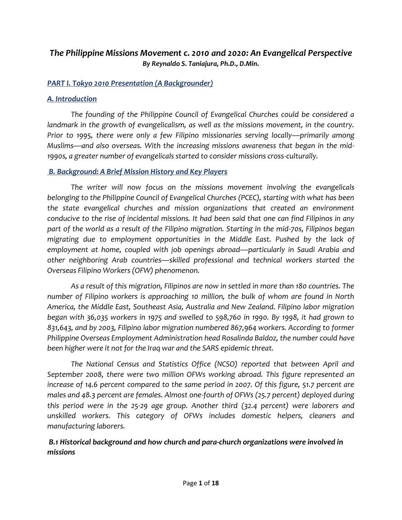# *The Philippine Missions Movement c. 2010 and 2020: An Evangelical Perspective By Reynaldo S. Taniajura, Ph.D., D.Min.*

### *PART I. Tokyo 2010 Presentation (A Backgrounder)*

### *A. Introduction*

*The founding of the Philippine Council of Evangelical Churches could be considered a landmark in the growth of evangelicalism, as well as the missions movement, in the country. Prior to 1995, there were only a few Filipino missionaries serving locally—primarily among Muslims—and also overseas. With the increasing missions awareness that began in the mid-1990s, a greater number of evangelicals started to consider missions cross-culturally.*

#### *B. Background: A Brief Mission History and Key Players*

*The writer will now focus on the missions movement involving the evangelicals belonging to the Philippine Council of Evangelical Churches (PCEC), starting with what has been the state evangelical churches and mission organizations that created an environment conducive to the rise of incidental missions. It had been said that one can find Filipinos in any part of the world as a result of the Filipino migration. Starting in the mid-70s, Filipinos began migrating due to employment opportunities in the Middle East. Pushed by the lack of employment at home, coupled with job openings abroad—particularly in Saudi Arabia and other neighboring Arab countries—skilled professional and technical workers started the Overseas Filipino Workers (OFW) phenomenon.* 

*As a result of this migration, Filipinos are now in settled in more than 180 countries. The number of Filipino workers is approaching 10 million, the bulk of whom are found in North America, the Middle East, Southeast Asia, Australia and New Zealand. Filipino labor migration began with 36,035 workers in 1975 and swelled to 598,760 in 1990. By 1998, it had grown to 831,643, and by 2003, Filipino labor migration numbered 867,964 workers. According to former Philippine Overseas Employment Administration head Rosalinda Baldoz, the number could have been higher were it not for the Iraq war and the SARS epidemic threat.* 

*The National Census and Statistics Office (NCSO) reported that between April and September 2008, there were two million OFWs working abroad. This figure represented an increase of 14.6 percent compared to the same period in 2007. Of this figure, 51.7 percent are males and 48.3 percent are females. Almost one-fourth of OFWs (25.7 percent) deployed during this period were in the 25-29 age group. Another third (32.4 percent) were laborers and unskilled workers. This category of OFWs includes domestic helpers, cleaners and manufacturing laborers.*

### *B.1 Historical background and how church and para-church organizations were involved in missions*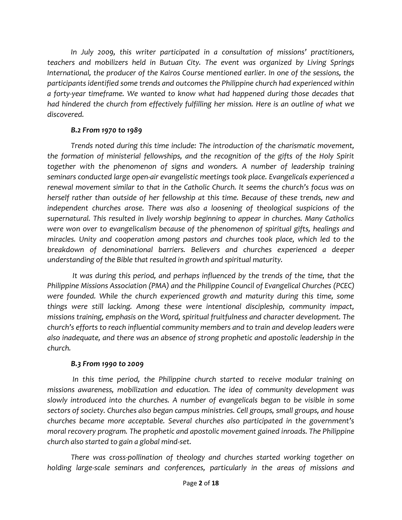*In July 2009, this writer participated in a consultation of missions' practitioners, teachers and mobilizers held in Butuan City. The event was organized by Living Springs International, the producer of the Kairos Course mentioned earlier. In one of the sessions, the participants identified some trends and outcomes the Philippine church had experienced within a forty-year timeframe. We wanted to know what had happened during those decades that had hindered the church from effectively fulfilling her mission. Here is an outline of what we discovered.* 

## *B.2 From 1970 to 1989*

*Trends noted during this time include: The introduction of the charismatic movement, the formation of ministerial fellowships, and the recognition of the gifts of the Holy Spirit together with the phenomenon of signs and wonders. A number of leadership training seminars conducted large open-air evangelistic meetings took place. Evangelicals experienced a renewal movement similar to that in the Catholic Church. It seems the church's focus was on herself rather than outside of her fellowship at this time. Because of these trends, new and independent churches arose. There was also a loosening of theological suspicions of the supernatural. This resulted in lively worship beginning to appear in churches. Many Catholics were won over to evangelicalism because of the phenomenon of spiritual gifts, healings and miracles. Unity and cooperation among pastors and churches took place, which led to the breakdown of denominational barriers. Believers and churches experienced a deeper understanding of the Bible that resulted in growth and spiritual maturity.*

*It was during this period, and perhaps influenced by the trends of the time, that the Philippine Missions Association (PMA) and the Philippine Council of Evangelical Churches (PCEC) were founded. While the church experienced growth and maturity during this time, some things were still lacking. Among these were intentional discipleship, community impact, missions training, emphasis on the Word, spiritual fruitfulness and character development. The church's efforts to reach influential community members and to train and develop leaders were also inadequate, and there was an absence of strong prophetic and apostolic leadership in the church.* 

### *B.3 From 1990 to 2009*

In this time period, the Philippine church started to receive modular training on *missions awareness, mobilization and education. The idea of community development was slowly introduced into the churches. A number of evangelicals began to be visible in some sectors of society. Churches also began campus ministries. Cell groups, small groups, and house churches became more acceptable. Several churches also participated in the government's moral recovery program. The prophetic and apostolic movement gained inroads. The Philippine church also started to gain a global mind-set.* 

*There was cross-pollination of theology and churches started working together on holding large-scale seminars and conferences, particularly in the areas of missions and*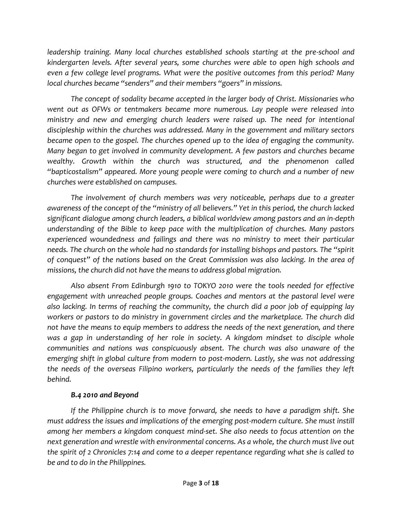*leadership training. Many local churches established schools starting at the pre-school and kindergarten levels. After several years, some churches were able to open high schools and even a few college level programs. What were the positive outcomes from this period? Many local churches became "senders" and their members "goers" in missions.*

*The concept of sodality became accepted in the larger body of Christ. Missionaries who went out as OFWs or tentmakers became more numerous. Lay people were released into ministry and new and emerging church leaders were raised up. The need for intentional discipleship within the churches was addressed. Many in the government and military sectors became open to the gospel. The churches opened up to the idea of engaging the community. Many began to get involved in community development. A few pastors and churches became wealthy. Growth within the church was structured, and the phenomenon called "bapticostalism" appeared. More young people were coming to church and a number of new churches were established on campuses.* 

*The involvement of church members was very noticeable, perhaps due to a greater awareness of the concept of the "ministry of all believers." Yet in this period, the church lacked significant dialogue among church leaders, a biblical worldview among pastors and an in-depth understanding of the Bible to keep pace with the multiplication of churches. Many pastors experienced woundedness and failings and there was no ministry to meet their particular needs. The church on the whole had no standards for installing bishops and pastors. The "spirit of conquest" of the nations based on the Great Commission was also lacking. In the area of missions, the church did not have the means to address global migration.* 

*Also absent From Edinburgh 1910 to TOKYO 2010 were the tools needed for effective engagement with unreached people groups. Coaches and mentors at the pastoral level were also lacking. In terms of reaching the community, the church did a poor job of equipping lay workers or pastors to do ministry in government circles and the marketplace. The church did not have the means to equip members to address the needs of the next generation, and there was a gap in understanding of her role in society. A kingdom mindset to disciple whole communities and nations was conspicuously absent. The church was also unaware of the emerging shift in global culture from modern to post-modern. Lastly, she was not addressing the needs of the overseas Filipino workers, particularly the needs of the families they left behind.* 

### *B.4 2010 and Beyond*

*If the Philippine church is to move forward, she needs to have a paradigm shift. She must address the issues and implications of the emerging post-modern culture. She must instill among her members a kingdom conquest mind-set. She also needs to focus attention on the next generation and wrestle with environmental concerns. As a whole, the church must live out the spirit of 2 Chronicles 7:14 and come to a deeper repentance regarding what she is called to be and to do in the Philippines.*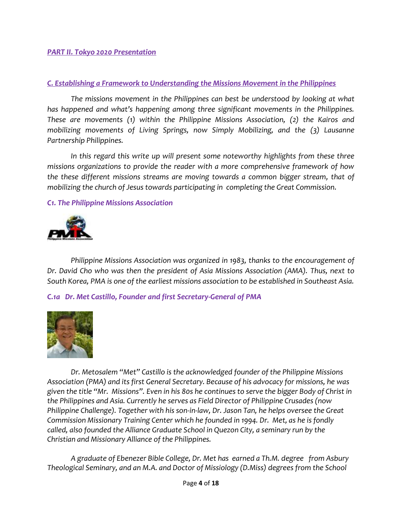#### *PART II. Tokyo 2020 Presentation*

#### *C. Establishing a Framework to Understanding the Missions Movement in the Philippines*

*The missions movement in the Philippines can best be understood by looking at what has happened and what's happening among three significant movements in the Philippines. These are movements (1) within the Philippine Missions Association, (2) the Kairos and mobilizing movements of Living Springs, now Simply Mobilizing, and the (3) Lausanne Partnership Philippines.*

In this regard this write up will present some noteworthy highlights from these three *missions organizations to provide the reader with a more comprehensive framework of how the these different missions streams are moving towards a common bigger stream, that of mobilizing the church of Jesus towards participating in completing the Great Commission.*

#### *C1. The Philippine Missions Association*



*Philippine Missions Association was organized in 1983, thanks to the encouragement of Dr. David Cho who was then the president of Asia Missions Association (AMA). Thus, next to South Korea, PMA is one of the earliest missions association to be established in Southeast Asia.*

*C.1a Dr. Met Castillo, Founder and first Secretary-General of PMA*



*Dr. Metosalem "Met" Castillo is the acknowledged founder of the Philippine Missions Association (PMA) and its first General Secretary. Because of his advocacy for missions, he was given the title "Mr. Missions". Even in his 80s he continues to serve the bigger Body of Christ in the Philippines and Asia. Currently he serves as Field Director of Philippine Crusades (now Philippine Challenge). Together with his son-in-law, Dr. Jason Tan, he helps oversee the Great Commission Missionary Training Center which he founded in 1994. Dr. Met, as he is fondly called, also founded the Alliance Graduate School in Quezon City, a seminary run by the Christian and Missionary Alliance of the Philippines.*

*A graduate of Ebenezer Bible College, Dr. Met has earned a Th.M. degree from Asbury Theological Seminary, and an M.A. and Doctor of Missiology (D.Miss) degrees from the School*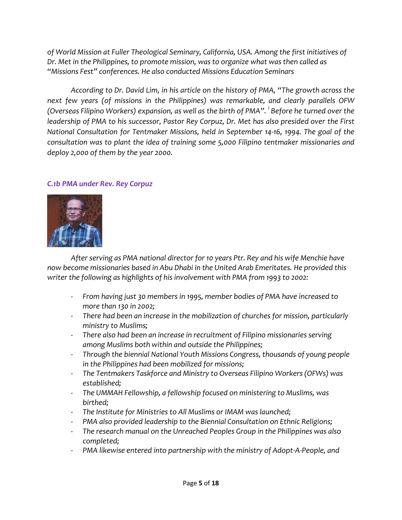*of World Mission at Fuller Theological Seminary, California, USA. Among the first initiatives of Dr. Met in the Philippines, to promote mission, was to organize what was then called as "Missions Fest" conferences. He also conducted Missions Education Seminars*

*According to Dr. David Lim, in his article on the history of PMA, "The growth across the next few years (of missions in the Philippines) was remarkable, and clearly parallels OFW (Overseas Filipino Workers) expansion, as well as the birth of PMA". <sup>i</sup> Before he turned over the leadership of PMA to his successor, Pastor Rey Corpuz, Dr. Met has also presided over the First National Consultation for Tentmaker Missions, held in September 14-16, 1994. The goal of the consultation was to plant the idea of training some 5,000 Filipino tentmaker missionaries and deploy 2,000 of them by the year 2000.*

#### *C.1b PMA under Rev. Rey Corpuz*



*After serving as PMA national director for 10 years Ptr. Rey and his wife Menchie have now become missionaries based in Abu Dhabi in the United Arab Emeritates. He provided this writer the following as highlights of his involvement with PMA from 1993 to 2002:*

- *From having just 30 members in 1995, member bodies of PMA have increased to more than 130 in 2002;*
- *There had been an increase in the mobilization of churches for mission, particularly ministry to Muslims;*
- *There also had been an increase in recruitment of Filipino missionaries serving among Muslims both within and outside the Philippines;*
- *Through the biennial National Youth Missions Congress, thousands of young people in the Philippines had been mobilized for missions;*
- *The Tentmakers Taskforce and Ministry to Overseas Filipino Workers (OFWs) was established;*
- *The UMMAH Fellowship, a fellowship focused on ministering to Muslims, was birthed;*
- *The Institute for Ministries to All Muslims or IMAM was launched;*
- *PMA also provided leadership to the Biennial Consultation on Ethnic Religions;*
- *The research manual on the Unreached Peoples Group in the Philippines was also completed;*
- *PMA likewise entered into partnership with the ministry of Adopt-A-People, and*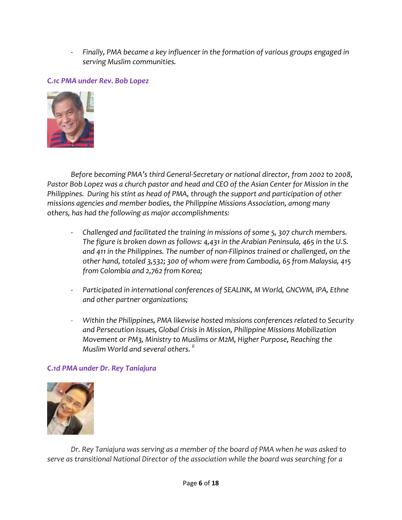- *Finally, PMA became a key influencer in the formation of various groups engaged in serving Muslim communities.*

## *C.1c PMA under Rev. Bob Lopez*



*Before becoming PMA's third General-Secretary or national director, from 2002 to 2008, Pastor Bob Lopez was a church pastor and head and CEO of the Asian Center for Mission in the Philippines. During his stint as head of PMA, through the support and participation of other missions agencies and member bodies, the Philippine Missions Association, among many others, has had the following as major accomplishments:*

- *Challenged and facilitated the training in missions of some 5, 307 church members. The figure is broken down as follows: 4,431 in the Arabian Peninsula, 465 in the U.S. and 411 in the Philippines. The number of non-Filipinos trained or challenged, on the other hand, totaled 3,532; 300 of whom were from Cambodia, 65 from Malaysia, 415 from Colombia and 2,762 from Korea;*
- Participated in international conferences of SEALINK, M World, GNCWM, IPA, Ethne *and other partner organizations;*
- *Within the Philippines, PMA likewise hosted missions conferences related to Security and Persecution Issues, Global Crisis in Mission, Philippine Missions Mobilization Movement or PM3, Ministry to Muslims or M2M, Higher Purpose, Reaching the Muslim World and several others. ii*

#### *C.1d PMA under Dr. Rey Taniajura*



*Dr. Rey Taniajura was serving as a member of the board of PMA when he was asked to serve as transitional National Director of the association while the board was searching for a*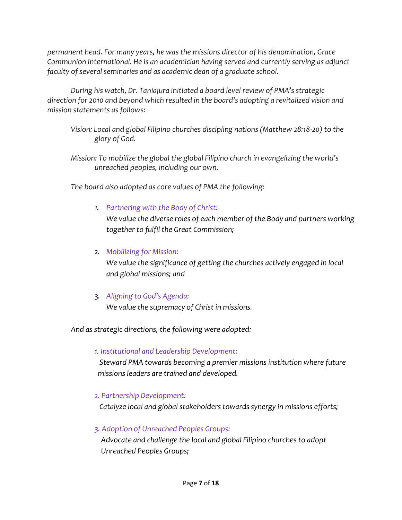*permanent head. For many years, he was the missions director of his denomination, Grace Communion International. He is an academician having served and currently serving as adjunct faculty of several seminaries and as academic dean of a graduate school.*

*During his watch, Dr. Taniajura initiated a board level review of PMA's strategic direction for 2010 and beyond which resulted in the board's adopting a revitalized vision and mission statements as follows:*

*Vision: Local and global Filipino churches discipling nations (Matthew 28:18-20) to the glory of God.*

*Mission: To mobilize the global the global Filipino church in evangelizing the world's unreached peoples, including our own.*

*The board also adopted as core values of PMA the following:*

### *1. Partnering with the Body of Christ:*

*We value the diverse roles of each member of the Body and partners working together to fulfil the Great Commission;*

#### *2. Mobilizing for Mission:*

*We value the significance of getting the churches actively engaged in local and global missions; and*

### *3. Aligning to God's Agenda:*

*We value the supremacy of Christ in missions.*

*And as strategic directions, the following were adopted:*

#### *1. Institutional and Leadership Development:*

 *Steward PMA towards becoming a premier missions institution where future missions leaders are trained and developed.*

### *2. Partnership Development:*

 *Catalyze local and global stakeholders towards synergy in missions efforts;*

### *3. Adoption of Unreached Peoples Groups:*

 *Advocate and challenge the local and global Filipino churches to adopt Unreached Peoples Groups;*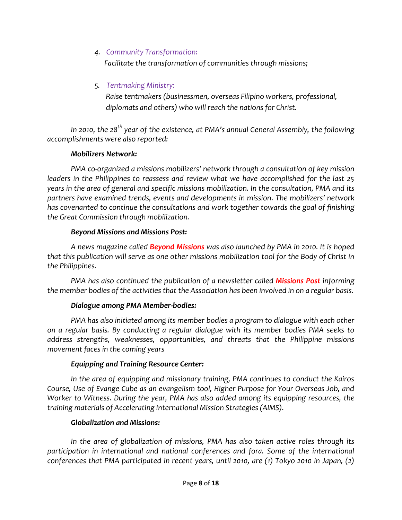### *4. Community Transformation:*

 *Facilitate the transformation of communities through missions;*

## *5. Tentmaking Ministry:*

 *Raise tentmakers (businessmen, overseas Filipino workers, professional, diplomats and others) who will reach the nations for Christ.*

*In 2010, the 28th year of the existence, at PMA's annual General Assembly, the following accomplishments were also reported:*

#### *Mobilizers Network:*

*PMA co-organized a missions mobilizers' network through a consultation of key mission leaders in the Philippines to reassess and review what we have accomplished for the last 25 years in the area of general and specific missions mobilization. In the consultation, PMA and its partners have examined trends, events and developments in mission. The mobilizers' network has covenanted to continue the consultations and work together towards the goal of finishing the Great Commission through mobilization.*

#### *Beyond Missions and Missions Post:*

*A news magazine called Beyond Missions was also launched by PMA in 2010. It is hoped that this publication will serve as one other missions mobilization tool for the Body of Christ in the Philippines.*

*PMA has also continued the publication of a newsletter called Missions Post informing the member bodies of the activities that the Association has been involved in on a regular basis.*

### *Dialogue among PMA Member-bodies:*

*PMA has also initiated among its member bodies a program to dialogue with each other on a regular basis. By conducting a regular dialogue with its member bodies PMA seeks to address strengths, weaknesses, opportunities, and threats that the Philippine missions movement faces in the coming years*

### *Equipping and Training Resource Center:*

*In the area of equipping and missionary training, PMA continues to conduct the Kairos Course, Use of Evange Cube as an evangelism tool, Higher Purpose for Your Overseas Job, and Worker to Witness. During the year, PMA has also added among its equipping resources, the training materials of Accelerating International Mission Strategies (AIMS).* 

### *Globalization and Missions:*

*In the area of globalization of missions, PMA has also taken active roles through its participation in international and national conferences and fora. Some of the international conferences that PMA participated in recent years, until 2010, are (1) Tokyo 2010 in Japan, (2)*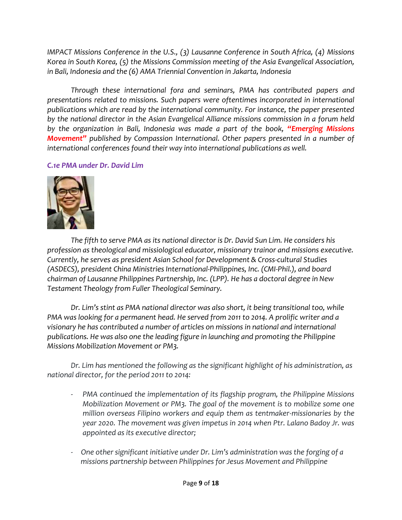*IMPACT Missions Conference in the U.S., (3) Lausanne Conference in South Africa, (4) Missions Korea in South Korea, (5) the Missions Commission meeting of the Asia Evangelical Association, in Bali, Indonesia and the (6) AMA Triennial Convention in Jakarta, Indonesia*

*Through these international fora and seminars, PMA has contributed papers and presentations related to missions. Such papers were oftentimes incorporated in international publications which are read by the international community. For instance, the paper presented by the national director in the Asian Evangelical Alliance missions commission in a forum held by the organization in Bali, Indonesia was made a part of the book, "Emerging Missions Movement" published by Compassion International. Other papers presented in a number of international conferences found their way into international publications as well.*

#### *C.1e PMA under Dr. David Lim*



*The fifth to serve PMA as its national director is Dr. David Sun Lim. He considers his profession as theological and missiological educator, missionary trainor and missions executive. Currently, he serves as president Asian School for Development & Cross-cultural Studies (ASDECS), president China Ministries International-Philippines, Inc. (CMI-Phil.), and board chairman of Lausanne Philippines Partnership, Inc. (LPP). He has a doctoral degree in New Testament Theology from Fuller Theological Seminary.*

*Dr. Lim's stint as PMA national director was also short, it being transitional too, while PMA was looking for a permanent head. He served from 2011 to 2014. A prolific writer and a visionary he has contributed a number of articles on missions in national and international publications. He was also one the leading figure in launching and promoting the Philippine Missions Mobilization Movement or PM3.* 

*Dr. Lim has mentioned the following as the significant highlight of his administration, as national director, for the period 2011 to 2014:*

- *PMA continued the implementation of its flagship program, the Philippine Missions Mobilization Movement or PM3. The goal of the movement is to mobilize some one million overseas Filipino workers and equip them as tentmaker-missionaries by the year 2020. The movement was given impetus in 2014 when Ptr. Lalano Badoy Jr. was appointed as its executive director;*
- *One other significant initiative under Dr. Lim's administration was the forging of a missions partnership between Philippines for Jesus Movement and Philippine*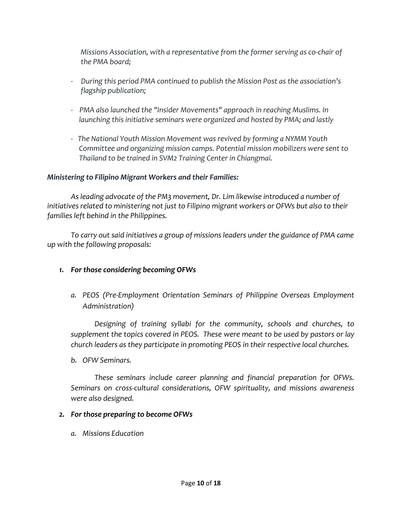*Missions Association, with a representative from the former serving as co-chair of the PMA board;*

- *During this period PMA continued to publish the Mission Post as the association's flagship publication;*
- *PMA also launched the "Insider Movements" approach in reaching Muslims. In launching this initiative seminars were organized and hosted by PMA; and lastly*
- *- The National Youth Mission Movement was revived by forming a NYMM Youth Committee and organizing mission camps. Potential mission mobilizers were sent to Thailand to be trained in SVM2 Training Center in Chiangmai.*

#### *Ministering to Filipino Migrant Workers and their Families:*

*As leading advocate of the PM3 movement, Dr. Lim likewise introduced a number of initiatives related to ministering not just to Filipino migrant workers or OFWs but also to their families left behind in the Philippines.*

*To carry out said initiatives a group of missions leaders under the guidance of PMA came up with the following proposals:*

### *1. For those considering becoming OFWs*

*a. PEOS (Pre-Employment Orientation Seminars of Philippine Overseas Employment Administration)*

*Designing of training syllabi for the community, schools and churches, to supplement the topics covered in PEOS. These were meant to be used by pastors or lay church leaders as they participate in promoting PEOS in their respective local churches.*

*b. OFW Seminars.* 

*These seminars include career planning and financial preparation for OFWs. Seminars on cross-cultural considerations, OFW spirituality, and missions awareness were also designed.*

#### *2. For those preparing to become OFWs*

*a. Missions Education*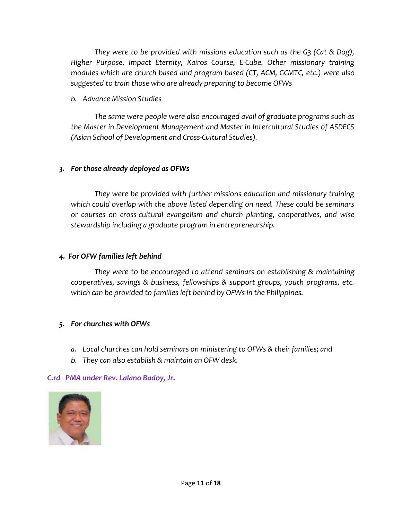*They were to be provided with missions education such as the G3 (Cat & Dog), Higher Purpose, Impact Eternity, Kairos Course, E-Cube. Other missionary training modules which are church based and program based (CT, ACM, GCMTC, etc.) were also suggested to train those who are already preparing to become OFWs*

*b. Advance Mission Studies*

*The same were people were also encouraged avail of graduate programs such as the Master in Development Management and Master in Intercultural Studies of ASDECS (Asian School of Development and Cross-Cultural Studies).*

#### *3. For those already deployed as OFWs*

*They were be provided with further missions education and missionary training which could overlap with the above listed depending on need. These could be seminars or courses on cross-cultural evangelism and church planting, cooperatives, and wise stewardship including a graduate program in entrepreneurship.* 

#### *4. For OFW families left behind*

*They were to be encouraged to attend seminars on establishing & maintaining cooperatives, savings & business, fellowships & support groups, youth programs, etc. which can be provided to families left behind by OFWs in the Philippines.*

### *5. For churches with OFWs*

- *a. Local churches can hold seminars on ministering to OFWs & their families; and*
- *b. They can also establish & maintain an OFW desk.*

#### *C.1d PMA under Rev. Lalano Badoy, Jr.*

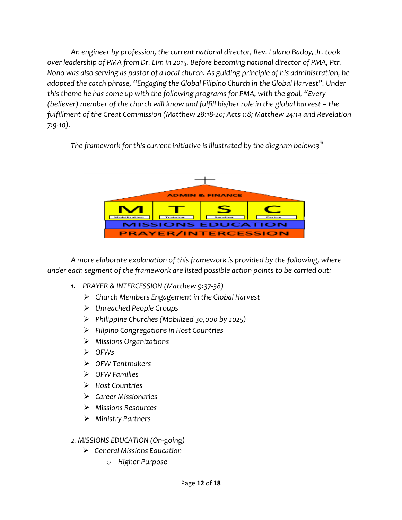*An engineer by profession, the current national director, Rev. Lalano Badoy, Jr. took over leadership of PMA from Dr. Lim in 2015. Before becoming national director of PMA, Ptr. Nono was also serving as pastor of a local church. As guiding principle of his administration, he adopted the catch phrase, "Engaging the Global Filipino Church in the Global Harvest". Under this theme he has come up with the following programs for PMA, with the goal, "Every (believer) member of the church will know and fulfill his/her role in the global harvest – the fulfillment of the Great Commission (Matthew 28:18-20; Acts 1:8; Matthew 24:14 and Revelation 7:9-10).*

The framework for this current initiative is illustrated by the diagram below:3<sup>iii</sup>



*A more elaborate explanation of this framework is provided by the following, where under each segment of the framework are listed possible action points to be carried out:*

- *1. PRAYER & INTERCESSION (Matthew 9:37-38)*
	- *Church Members Engagement in the Global Harvest*
	- *Unreached People Groups*
	- *Philippine Churches (Mobilized 30,000 by 2025)*
	- *Filipino Congregations in Host Countries*
	- *Missions Organizations*
	- *OFWs*
	- *OFW Tentmakers*
	- *OFW Families*
	- *Host Countries*
	- *Career Missionaries*
	- *Missions Resources*
	- *Ministry Partners*

### *2. MISSIONS EDUCATION (On-going)*

- *General Missions Education*
	- o *Higher Purpose*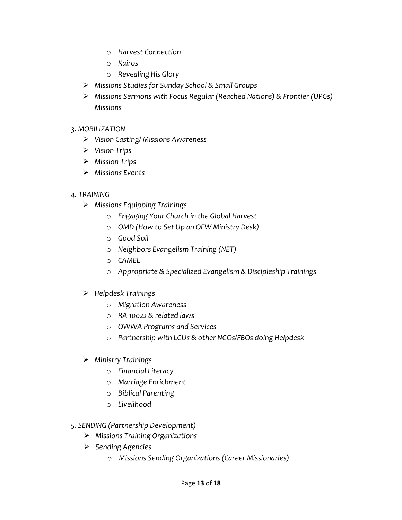- o *Harvest Connection*
- o *Kairos*
- o *Revealing His Glory*
- *Missions Studies for Sunday School & Small Groups*
- *Missions Sermons with Focus Regular (Reached Nations) & Frontier (UPGs) Missions*

#### *3. MOBILIZATION*

- *Vision Casting/ Missions Awareness*
- *Vision Trips*
- *Mission Trips*
- *Missions Events*

### *4. TRAINING*

- *Missions Equipping Trainings*
	- o *Engaging Your Church in the Global Harvest*
	- o *OMD (How to Set Up an OFW Ministry Desk)*
	- o *Good Soil*
	- o *Neighbors Evangelism Training (NET)*
	- o *CAMEL*
	- o *Appropriate & Specialized Evangelism & Discipleship Trainings*

### *Helpdesk Trainings*

- o *Migration Awareness*
- o *RA 10022 & related laws*
- o *OWWA Programs and Services*
- o *Partnership with LGUs & other NGOs/FBOs doing Helpdesk*
- *Ministry Trainings*
	- o *Financial Literacy*
	- o *Marriage Enrichment*
	- o *Biblical Parenting*
	- o *Livelihood*
- *5. SENDING (Partnership Development)*
	- *Missions Training Organizations*
	- *Sending Agencies* 
		- o *Missions Sending Organizations (Career Missionaries)*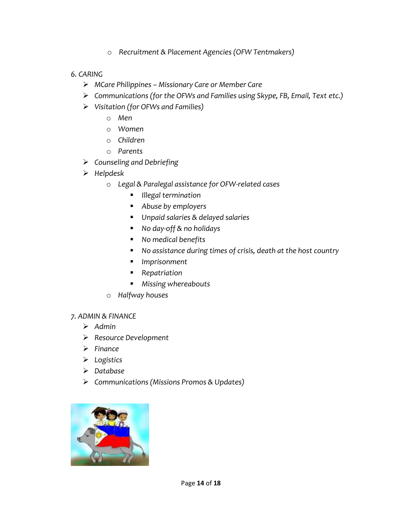o *Recruitment & Placement Agencies (OFW Tentmakers)*

#### *6. CARING*

- *MCare Philippines – Missionary Care or Member Care*
- *Communications (for the OFWs and Families using Skype, FB, Email, Text etc.)*
- *Visitation (for OFWs and Families)*
	- o *Men*
	- o *Women*
	- o *Children*
	- o *Parents*
- *Counseling and Debriefing*
- *Helpdesk* 
	- o *Legal & Paralegal assistance for OFW-related cases* 
		- *Illegal termination*
		- *Abuse by employers*
		- *Unpaid salaries & delayed salaries*
		- *No day-off & no holidays*
		- *No medical benefits*
		- *No assistance during times of crisis, death at the host country*
		- *Imprisonment*
		- *Repatriation*
		- *Missing whereabouts*
	- o *Halfway houses*

#### *7. ADMIN & FINANCE*

- *Admin*
- *Resource Development*
- *Finance*
- *Logistics*
- *Database*
- *Communications (Missions Promos & Updates)*

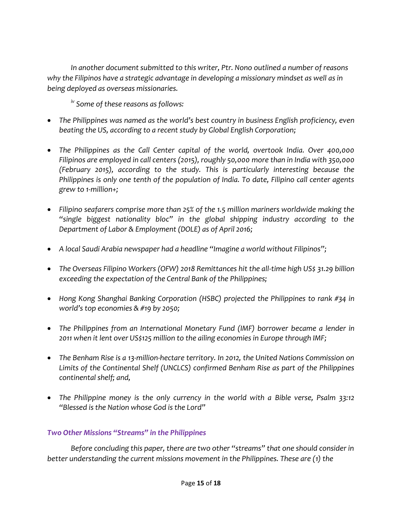*In another document submitted to this writer, Ptr. Nono outlined a number of reasons why the Filipinos have a strategic advantage in developing a missionary mindset as well as in being deployed as overseas missionaries.*

*iv Some of these reasons as follows:*

- *The Philippines was named as the world's best country in business English proficiency, even beating the US, according to a recent study by Global English Corporation;*
- *The Philippines as the Call Center capital of the world, overtook India. Over 400,000 Filipinos are employed in call centers (2015), roughly 50,000 more than in India with 350,000 (February 2015), according to the study. This is particularly interesting because the Philippines is only one tenth of the population of India. To date, Filipino call center agents grew to 1-million+;*
- *Filipino seafarers comprise more than 25% of the 1.5 million mariners worldwide making the "single biggest nationality bloc" in the global shipping industry according to the Department of Labor & Employment (DOLE) as of April 2016;*
- *A local Saudi Arabia newspaper had a headline "Imagine a world without Filipinos";*
- *The Overseas Filipino Workers (OFW) 2018 Remittances hit the all-time high US\$ 31.29 billion exceeding the expectation of the Central Bank of the Philippines;*
- *Hong Kong Shanghai Banking Corporation (HSBC) projected the Philippines to rank #34 in world's top economies & #19 by 2050;*
- *The Philippines from an International Monetary Fund (IMF) borrower became a lender in 2011 when it lent over US\$125 million to the ailing economies in Europe through IMF;*
- *The Benham Rise is a 13-million-hectare territory. In 2012, the United Nations Commission on Limits of the Continental Shelf (UNCLCS) confirmed Benham Rise as part of the Philippines continental shelf; and,*
- *The Philippine money is the only currency in the world with a Bible verse, Psalm 33:12 "Blessed is the Nation whose God is the Lord"*

### *Two Other Missions "Streams" in the Philippines*

*Before concluding this paper, there are two other "streams" that one should consider in better understanding the current missions movement in the Philippines. These are (1) the*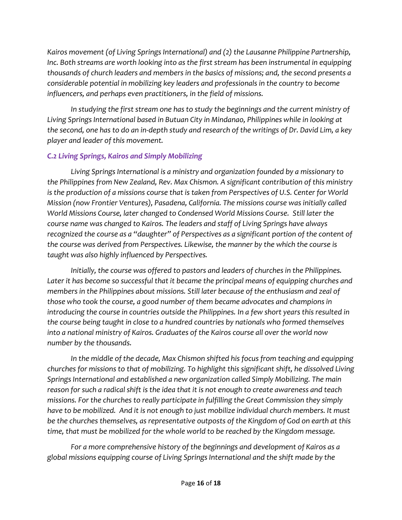*Kairos movement (of Living Springs International) and (2) the Lausanne Philippine Partnership, Inc. Both streams are worth looking into as the first stream has been instrumental in equipping thousands of church leaders and members in the basics of missions; and, the second presents a considerable potential in mobilizing key leaders and professionals in the country to become influencers, and perhaps even practitioners, in the field of missions.*

*In studying the first stream one has to study the beginnings and the current ministry of Living Springs International based in Butuan City in Mindanao, Philippines while in looking at the second, one has to do an in-depth study and research of the writings of Dr. David Lim, a key player and leader of this movement.* 

## *C.2 Living Springs, Kairos and Simply Mobilizing*

*Living Springs International is a ministry and organization founded by a missionary to the Philippines from New Zealand, Rev. Max Chismon. A significant contribution of this ministry is the production of a missions course that is taken from Perspectives of U.S. Center for World Mission (now Frontier Ventures), Pasadena, California. The missions course was initially called World Missions Course, later changed to Condensed World Missions Course. Still later the course name was changed to Kairos. The leaders and staff of Living Springs have always recognized the course as a "daughter" of Perspectives as a significant portion of the content of the course was derived from Perspectives. Likewise, the manner by the which the course is taught was also highly influenced by Perspectives.*

*Initially, the course was offered to pastors and leaders of churches in the Philippines. Later it has become so successful that it became the principal means of equipping churches and members in the Philippines about missions. Still later because of the enthusiasm and zeal of those who took the course, a good number of them became advocates and champions in introducing the course in countries outside the Philippines. In a few short years this resulted in the course being taught in close to a hundred countries by nationals who formed themselves into a national ministry of Kairos. Graduates of the Kairos course all over the world now number by the thousands.*

In the middle of the decade, Max Chismon shifted his focus from teaching and equipping *churches for missions to that of mobilizing. To highlight this significant shift, he dissolved Living Springs International and established a new organization called Simply Mobilizing. The main reason for such a radical shift is the idea that it is not enough to create awareness and teach missions. For the churches to really participate in fulfilling the Great Commission they simply have to be mobilized. And it is not enough to just mobilize individual church members. It must be the churches themselves, as representative outposts of the Kingdom of God on earth at this time, that must be mobilized for the whole world to be reached by the Kingdom message.*

*For a more comprehensive history of the beginnings and development of Kairos as a global missions equipping course of Living Springs International and the shift made by the*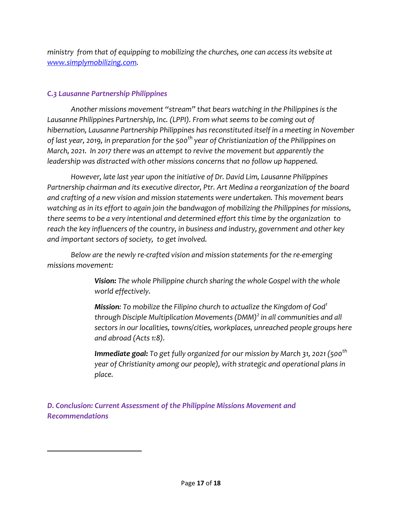*ministry from that of equipping to mobilizing the churches, one can access its website at [www.simplymobilizing.com.](http://www.simplymobilizing.com/)*

## *C.3 Lausanne Partnership Philippines*

 $\overline{\phantom{a}}$ 

*Another missions movement "stream" that bears watching in the Philippines is the*  Lausanne Philippines Partnership, Inc. (LPPI). From what seems to be coming out of *hibernation, Lausanne Partnership Philippines has reconstituted itself in a meeting in November of last year, 2019, in preparation for the 500th year of Christianization of the Philippines on March, 2021. In 2017 there was an attempt to revive the movement but apparently the leadership was distracted with other missions concerns that no follow up happened.*

*However, late last year upon the initiative of Dr. David Lim, Lausanne Philippines Partnership chairman and its executive director, Ptr. Art Medina a reorganization of the board and crafting of a new vision and mission statements were undertaken. This movement bears watching as in its effort to again join the bandwagon of mobilizing the Philippines for missions, there seems to be a very intentional and determined effort this time by the organization to reach the key influencers of the country, in business and industry, government and other key and important sectors of society, to get involved.*

*Below are the newly re-crafted vision and mission statements for the re-emerging missions movement:*

> *Vision: The whole Philippine church sharing the whole Gospel with the whole world effectively.*

*Mission: To mobilize the Filipino church to actualize the Kingdom of God<sup>1</sup> through Disciple Multiplication Movements (DMM)<sup>2</sup> in all communities and all sectors in our localities, towns/cities, workplaces, unreached people groups here and abroad (Acts 1:8).*

*Immediate goal: To get fully organized for our mission by March 31, 2021 (500th year of Christianity among our people), with strategic and operational plans in place.*

*D. Conclusion: Current Assessment of the Philippine Missions Movement and Recommendations*